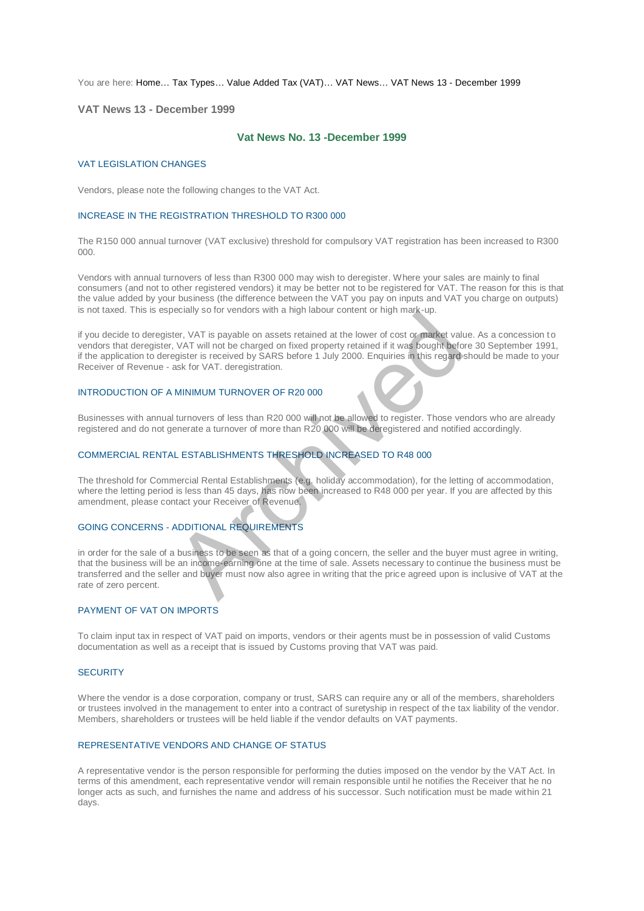You are here: [Home…](http://196.38.114.171/home.asp?pid=1) [Tax Types…](http://196.38.114.171/home.asp?pid=161) [Value Added Tax \(VAT\)…](http://196.38.114.171/home.asp?pid=194) [VAT News…](http://196.38.114.171/home.asp?pid=4722) [VAT News 13 - December 1999](http://196.38.114.171/home.asp?pid=47320) 

## **VAT News 13 - December 1999**

# **Vat News No. 13 -December 1999**

#### VAT LEGISLATION CHANGES

Vendors, please note the following changes to the VAT Act.

### INCREASE IN THE REGISTRATION THRESHOLD TO R300 000

The R150 000 annual turnover (VAT exclusive) threshold for compulsory VAT registration has been increased to R300 000.

Vendors with annual turnovers of less than R300 000 may wish to deregister. Where your sales are mainly to final consumers (and not to other registered vendors) it may be better not to be registered for VAT. The reason for this is that the value added by your business (the difference between the VAT you pay on inputs and VAT you charge on outputs) is not taxed. This is especially so for vendors with a high labour content or high mark-up.

if you decide to deregister, VAT is payable on assets retained at the lower of cost or market value. As a concession to vendors that deregister, VAT will not be charged on fixed property retained if it was bought before 30 September 1991, if the application to deregister is received by SARS before 1 July 2000. Enquiries in this regard should be made to your Receiver of Revenue - ask for VAT. deregistration.

### INTRODUCTION OF A MINIMUM TURNOVER OF R20 000

Businesses with annual turnovers of less than R20 000 will not be allowed to register. Those vendors who are already registered and do not generate a turnover of more than R20 000 will be deregistered and notified accordingly.

# COMMERCIAL RENTAL ESTABLISHMENTS THRESHOLD INCREASED TO R48 000

The threshold for Commercial Rental Establishments (e.g. holiday accommodation), for the letting of accommodation, where the letting period is less than 45 days, has now been increased to R48 000 per year. If you are affected by this amendment, please contact your Receiver of Revenue.

# GOING CONCERNS - ADDITIONAL REQUIREMENTS

in order for the sale of a business to be seen as that of a going concern, the seller and the buyer must agree in writing, that the business will be an income-earning one at the time of sale. Assets necessary to continue the business must be transferred and the seller and buyer must now also agree in writing that the price agreed upon is inclusive of VAT at the rate of zero percent. Examples of the charged on assets retained at the lower of cost or market values.<br>
The WAT will not be charged on fixed property retained if it was bought before ask for VAT. deregistration.<br>
Samples in the charged on fixe

# PAYMENT OF VAT ON IMPORTS

To claim input tax in respect of VAT paid on imports, vendors or their agents must be in possession of valid Customs documentation as well as a receipt that is issued by Customs proving that VAT was paid.

## **SECURITY**

Where the vendor is a dose corporation, company or trust, SARS can require any or all of the members, shareholders or trustees involved in the management to enter into a contract of suretyship in respect of the tax liability of the vendor. Members, shareholders or trustees will be held liable if the vendor defaults on VAT payments.

### REPRESENTATIVE VENDORS AND CHANGE OF STATUS

A representative vendor is the person responsible for performing the duties imposed on the vendor by the VAT Act. In terms of this amendment, each representative vendor will remain responsible until he notifies the Receiver that he no longer acts as such, and furnishes the name and address of his successor. Such notification must be made within 21 days.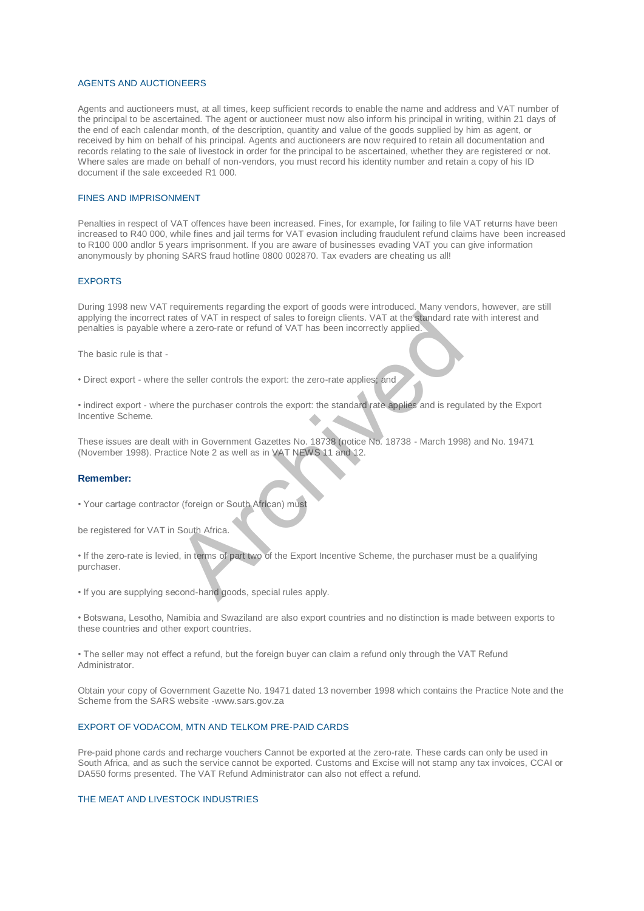#### AGENTS AND AUCTIONEERS

Agents and auctioneers must, at all times, keep sufficient records to enable the name and address and VAT number of the principal to be ascertained. The agent or auctioneer must now also inform his principal in writing, within 21 days of the end of each calendar month, of the description, quantity and value of the goods supplied by him as agent, or received by him on behalf of his principal. Agents and auctioneers are now required to retain all documentation and records relating to the sale of livestock in order for the principal to be ascertained, whether they are registered or not. Where sales are made on behalf of non-vendors, you must record his identity number and retain a copy of his ID document if the sale exceeded R1 000.

# FINES AND IMPRISONMENT

Penalties in respect of VAT offences have been increased. Fines, for example, for failing to file VAT returns have been increased to R40 000, while fines and jail terms for VAT evasion including fraudulent refund claims have been increased to R100 000 andlor 5 years imprisonment. If you are aware of businesses evading VAT you can give information anonymously by phoning SARS fraud hotline 0800 002870. Tax evaders are cheating us all!

### **EXPORTS**

During 1998 new VAT requirements regarding the export of goods were introduced. Many vendors, however, are still applying the incorrect rates of VAT in respect of sales to foreign clients. VAT at the standard rate with interest and penalties is payable where a zero-rate or refund of VAT has been incorrectly applied. ates of VAT in respect of sales to foreign clients. VAT at the standard ratere a zero-rate or refund of VAT has been incorrectly applied.<br>
The seller controls the export: the zero-rate applies, and<br>
the seller controls the

The basic rule is that -

• Direct export - where the seller controls the export: the zero-rate applies; and

• indirect export - where the purchaser controls the export: the standard rate applies and is regulated by the Export Incentive Scheme.

These issues are dealt with in Government Gazettes No. 18738 (notice No. 18738 - March 1998) and No. 19471 (November 1998). Practice Note 2 as well as in VAT NEWS 11 and 12.

### **Remember:**

• Your cartage contractor (foreign or South African) must

be registered for VAT in South Africa.

• If the zero-rate is levied, in terms of part two of the Export Incentive Scheme, the purchaser must be a qualifying purchaser.

• If you are supplying second-hand goods, special rules apply.

• Botswana, Lesotho, Namibia and Swaziland are also export countries and no distinction is made between exports to these countries and other export countries.

• The seller may not effect a refund, but the foreign buyer can claim a refund only through the VAT Refund Administrator.

Obtain your copy of Government Gazette No. 19471 dated 13 november 1998 which contains the Practice Note and the Scheme from the SARS website -www.sars.gov.za

# EXPORT OF VODACOM, MTN AND TELKOM PRE-PAID CARDS

Pre-paid phone cards and recharge vouchers Cannot be exported at the zero-rate. These cards can only be used in South Africa, and as such the service cannot be exported. Customs and Excise will not stamp any tax invoices, CCAI or DA550 forms presented. The VAT Refund Administrator can also not effect a refund.

# THE MEAT AND LIVESTOCK INDUSTRIES